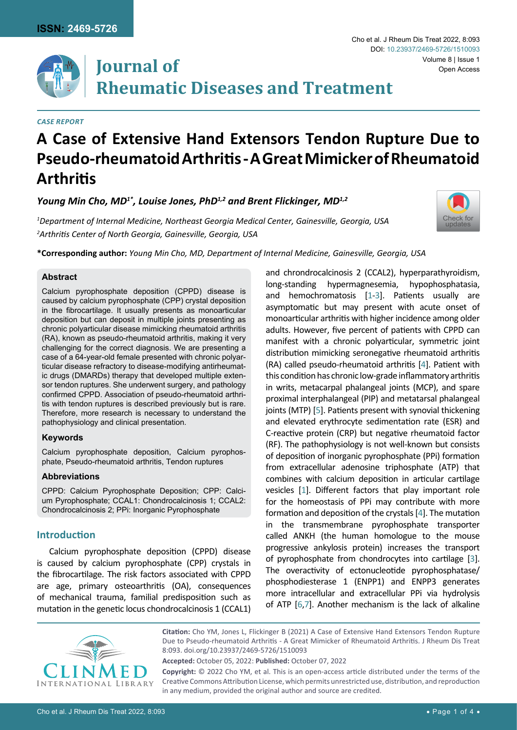

#### *Case Report*

# **A Case of Extensive Hand Extensors Tendon Rupture Due to Pseudo-rheumatoid Arthritis - A Great Mimicker of Rheumatoid Arthritis**

*Young Min Cho, MD1\*, Louise Jones, PhD1,2 and Brent Flickinger, MD1,2*

*1 Department of Internal Medicine, Northeast Georgia Medical Center, Gainesville, Georgia, USA 2 Arthritis Center of North Georgia, Gainesville, Georgia, USA*



Volume 8 | Issue 1

Open Access

Cho et al. J Rheum Dis Treat 2022, 8:093

DOI: [10.23937/2469-5726/1510093](https://doi.org/10.23937/2469-5726/1510093)

**\*Corresponding author:** *Young Min Cho, MD, Department of Internal Medicine, Gainesville, Georgia, USA*

#### **Abstract**

Calcium pyrophosphate deposition (CPPD) disease is caused by calcium pyrophosphate (CPP) crystal deposition in the fibrocartilage. It usually presents as monoarticular deposition but can deposit in multiple joints presenting as chronic polyarticular disease mimicking rheumatoid arthritis (RA), known as pseudo-rheumatoid arthritis, making it very challenging for the correct diagnosis. We are presenting a case of a 64-year-old female presented with chronic polyarticular disease refractory to disease-modifying antirheumatic drugs (DMARDs) therapy that developed multiple extensor tendon ruptures. She underwent surgery, and pathology confirmed CPPD. Association of pseudo-rheumatoid arthritis with tendon ruptures is described previously but is rare. Therefore, more research is necessary to understand the pathophysiology and clinical presentation.

#### **Keywords**

Calcium pyrophosphate deposition, Calcium pyrophosphate, Pseudo-rheumatoid arthritis, Tendon ruptures

#### **Abbreviations**

CPPD: Calcium Pyrophosphate Deposition; CPP: Calcium Pyrophosphate; CCAL1: Chondrocalcinosis 1; CCAL2: Chondrocalcinosis 2; PPi: Inorganic Pyrophosphate

## **Introduction**

Calcium pyrophosphate deposition (CPPD) disease is caused by calcium pyrophosphate (CPP) crystals in the fibrocartilage. The risk factors associated with CPPD are age, primary osteoarthritis (OA), consequences of mechanical trauma, familial predisposition such as mutation in the genetic locus chondrocalcinosis 1 (CCAL1) and chrondrocalcinosis 2 (CCAL2), hyperparathyroidism, long-standing hypermagnesemia, hypophosphatasia, and hemochromatosis [[1](#page-3-0)[-3](#page-3-1)]. Patients usually are asymptomatic but may present with acute onset of monoarticular arthritis with higher incidence among older adults. However, five percent of patients with CPPD can manifest with a chronic polyarticular, symmetric joint distribution mimicking seronegative rheumatoid arthritis (RA) called pseudo-rheumatoid arthritis [\[4](#page-3-2)]. Patient with this condition has chronic low-grade inflammatory arthritis in writs, metacarpal phalangeal joints (MCP), and spare proximal interphalangeal (PIP) and metatarsal phalangeal joints (MTP) [[5](#page-3-3)]. Patients present with synovial thickening and elevated erythrocyte sedimentation rate (ESR) and C-reactive protein (CRP) but negative rheumatoid factor (RF). The pathophysiology is not well-known but consists of deposition of inorganic pyrophosphate (PPi) formation from extracellular adenosine triphosphate (ATP) that combines with calcium deposition in articular cartilage vesicles [\[1](#page-3-0)]. Different factors that play important role for the homeostasis of PPi may contribute with more formation and deposition of the crystals [[4\]](#page-3-2). The mutation in the transmembrane pyrophosphate transporter called ANKH (the human homologue to the mouse progressive ankylosis protein) increases the transport of pyrophosphate from chondrocytes into cartilage [[3](#page-3-1)]. The overactivity of ectonucleotide pyrophosphatase/ phosphodiesterase 1 (ENPP1) and ENPP3 generates more intracellular and extracellular PPi via hydrolysis of ATP [[6](#page-3-4),[7\]](#page-3-5). Another mechanism is the lack of alkaline



**Citation:** Cho YM, Jones L, Flickinger B (2021) A Case of Extensive Hand Extensors Tendon Rupture Due to Pseudo-rheumatoid Arthritis - A Great Mimicker of Rheumatoid Arthritis. J Rheum Dis Treat 8:093. doi.org/10.23937/2469-5726/1510093

**Accepted:** October 05, 2022: **Published:** October 07, 2022

**Copyright:** © 2022 Cho YM, et al. This is an open-access article distributed under the terms of the Creative Commons Attribution License, which permits unrestricted use, distribution, and reproduction in any medium, provided the original author and source are credited.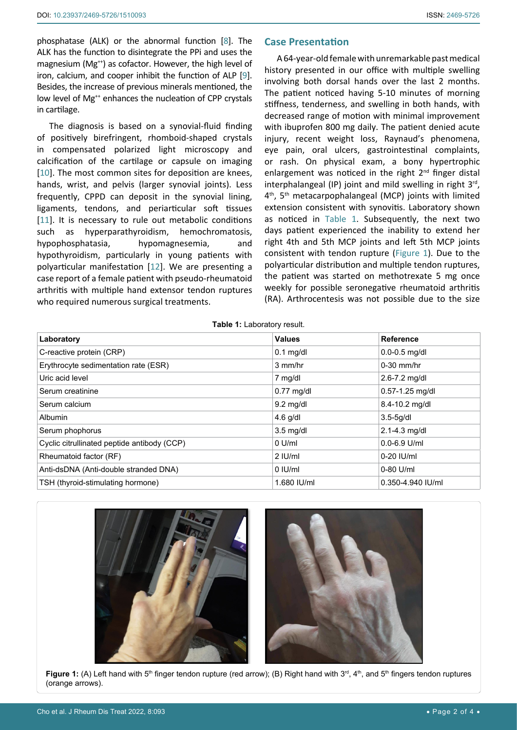phosphatase (ALK) or the abnormal function [[8](#page-3-6)]. The ALK has the function to disintegrate the PPi and uses the magnesium (Mg<sup>++</sup>) as cofactor. However, the high level of iron, calcium, and cooper inhibit the function of ALP [[9](#page-3-7)]. Besides, the increase of previous minerals mentioned, the low level of Mg<sup>++</sup> enhances the nucleation of CPP crystals in cartilage.

The diagnosis is based on a synovial-fluid finding of positively birefringent, rhomboid-shaped crystals in compensated polarized light microscopy and calcification of the cartilage or capsule on imaging [[10](#page-3-8)]. The most common sites for deposition are knees, hands, wrist, and pelvis (larger synovial joints). Less frequently, CPPD can deposit in the synovial lining, ligaments, tendons, and periarticular soft tissues [[11](#page-3-9)]. It is necessary to rule out metabolic conditions such as hyperparathyroidism, hemochromatosis, hypophosphatasia, hypomagnesemia, and hypothyroidism, particularly in young patients with polyarticular manifestation [[12](#page-3-10)]. We are presenting a case report of a female patient with pseudo-rheumatoid arthritis with multiple hand extensor tendon ruptures who required numerous surgical treatments.

# **Case Presentation**

A 64-year-old female with unremarkable past medical history presented in our office with multiple swelling involving both dorsal hands over the last 2 months. The patient noticed having 5-10 minutes of morning stiffness, tenderness, and swelling in both hands, with decreased range of motion with minimal improvement with ibuprofen 800 mg daily. The patient denied acute injury, recent weight loss, Raynaud's phenomena, eye pain, oral ulcers, gastrointestinal complaints, or rash. On physical exam, a bony hypertrophic enlargement was noticed in the right 2<sup>nd</sup> finger distal interphalangeal (IP) joint and mild swelling in right  $3<sup>rd</sup>$ , 4<sup>th</sup>, 5<sup>th</sup> metacarpophalangeal (MCP) joints with limited extension consistent with synovitis. Laboratory shown as noticed in [Table 1](#page-1-0). Subsequently, the next two days patient experienced the inability to extend her right 4th and 5th MCP joints and left 5th MCP joints consistent with tendon rupture ([Figure 1](#page-1-1)). Due to the polyarticular distribution and multiple tendon ruptures, the patient was started on methotrexate 5 mg once weekly for possible seronegative rheumatoid arthritis (RA). Arthrocentesis was not possible due to the size

<span id="page-1-0"></span>**Table 1:** Laboratory result.

| Laboratory                                  | <b>Values</b>    | <b>Reference</b>    |
|---------------------------------------------|------------------|---------------------|
| C-reactive protein (CRP)                    | $0.1$ mg/dl      | $0.0 - 0.5$ mg/dl   |
| Erythrocyte sedimentation rate (ESR)        | 3 mm/hr          | $0-30$ mm/hr        |
| Uric acid level                             | 7 mg/dl          | $2.6 - 7.2$ mg/dl   |
| Serum creatinine                            | $0.77$ mg/dl     | $0.57 - 1.25$ mg/dl |
| Serum calcium                               | $9.2$ mg/dl      | 8.4-10.2 mg/dl      |
| <b>Albumin</b>                              | $4.6$ g/dl       | $3.5 - 5g/dl$       |
| Serum phophorus                             | $3.5$ mg/dl      | $2.1 - 4.3$ mg/dl   |
| Cyclic citrullinated peptide antibody (CCP) | $0 \text{ U/ml}$ | $0.0 - 6.9$ U/ml    |
| Rheumatoid factor (RF)                      | $2$ IU/ml        | 0-20 IU/ml          |
| Anti-dsDNA (Anti-double stranded DNA)       | $0$ IU/ml        | $0-80$ U/ml         |
| TSH (thyroid-stimulating hormone)           | 1.680 IU/ml      | 0.350-4.940 IU/ml   |



**Figure 1:** (A) Left hand with 5<sup>th</sup> finger tendon rupture (red arrow); (B) Right hand with 3<sup>rd</sup>, 4<sup>th</sup>, and 5<sup>th</sup> fingers tendon ruptures (orange arrows).

<span id="page-1-1"></span>Ĩ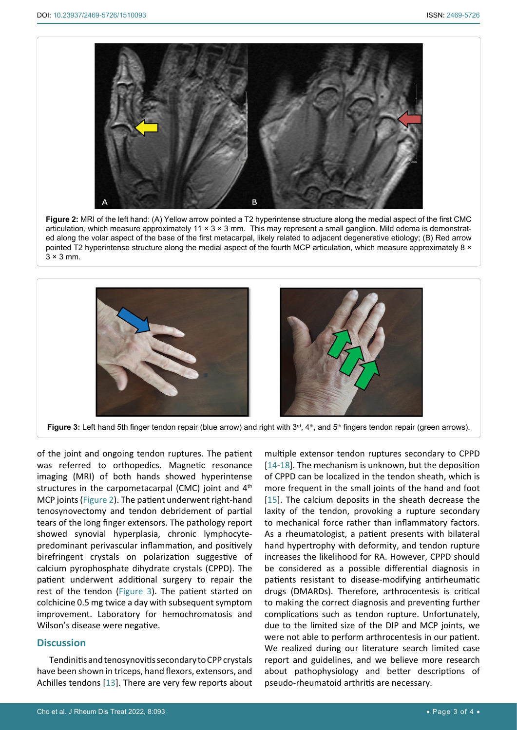<span id="page-2-0"></span>Ī



**Figure 2:** MRI of the left hand: (A) Yellow arrow pointed a T2 hyperintense structure along the medial aspect of the first CMC articulation, which measure approximately  $11 \times 3 \times 3$  mm. This may represent a small ganglion. Mild edema is demonstrated along the volar aspect of the base of the first metacarpal, likely related to adjacent degenerative etiology; (B) Red arrow pointed T2 hyperintense structure along the medial aspect of the fourth MCP articulation, which measure approximately 8 ×  $3 \times 3$  mm.

<span id="page-2-1"></span>

Figure 3: Left hand 5th finger tendon repair (blue arrow) and right with 3<sup>rd</sup>, 4<sup>th</sup>, and 5<sup>th</sup> fingers tendon repair (green arrows).

of the joint and ongoing tendon ruptures. The patient was referred to orthopedics. Magnetic resonance imaging (MRI) of both hands showed hyperintense structures in the carpometacarpal (CMC) joint and 4<sup>th</sup> MCP joints ([Figure 2](#page-2-0)). The patient underwent right-hand tenosynovectomy and tendon debridement of partial tears of the long finger extensors. The pathology report showed synovial hyperplasia, chronic lymphocytepredominant perivascular inflammation, and positively birefringent crystals on polarization suggestive of calcium pyrophosphate dihydrate crystals (CPPD). The patient underwent additional surgery to repair the rest of the tendon ([Figure 3](#page-2-1)). The patient started on colchicine 0.5 mg twice a day with subsequent symptom improvement. Laboratory for hemochromatosis and Wilson's disease were negative.

# **Discussion**

Tendinitis and tenosynovitis secondary to CPP crystals have been shown in triceps, hand flexors, extensors, and Achilles tendons [[13](#page-3-14)]. There are very few reports about

multiple extensor tendon ruptures secondary to CPPD [[14](#page-3-11)-[18](#page-3-12)]. The mechanism is unknown, but the deposition of CPPD can be localized in the tendon sheath, which is more frequent in the small joints of the hand and foot [[15](#page-3-13)]. The calcium deposits in the sheath decrease the laxity of the tendon, provoking a rupture secondary to mechanical force rather than inflammatory factors. As a rheumatologist, a patient presents with bilateral hand hypertrophy with deformity, and tendon rupture increases the likelihood for RA. However, CPPD should be considered as a possible differential diagnosis in patients resistant to disease-modifying antirheumatic drugs (DMARDs). Therefore, arthrocentesis is critical to making the correct diagnosis and preventing further complications such as tendon rupture. Unfortunately, due to the limited size of the DIP and MCP joints, we were not able to perform arthrocentesis in our patient. We realized during our literature search limited case report and guidelines, and we believe more research about pathophysiology and better descriptions of pseudo-rheumatoid arthritis are necessary.